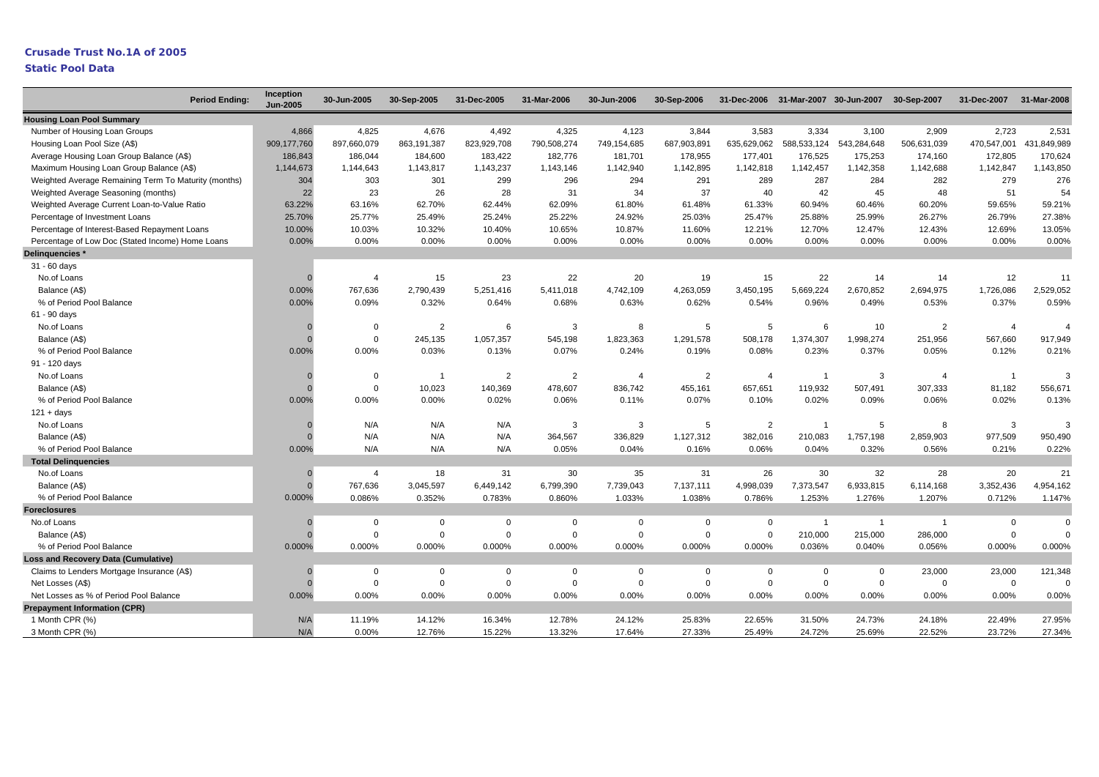### **Static Pool Data**

|                                                      | Inception<br><b>Period Ending:</b><br><b>Jun-2005</b> | 30-Jun-2005    | 30-Sep-2005    | 31-Dec-2005    | 31-Mar-2006    | 30-Jun-2006    | 30-Sep-2006    |                |                | 31-Dec-2006 31-Mar-2007 30-Jun-2007 | 30-Sep-2007    | 31-Dec-2007    | 31-Mar-2008    |
|------------------------------------------------------|-------------------------------------------------------|----------------|----------------|----------------|----------------|----------------|----------------|----------------|----------------|-------------------------------------|----------------|----------------|----------------|
| <b>Housing Loan Pool Summary</b>                     |                                                       |                |                |                |                |                |                |                |                |                                     |                |                |                |
| Number of Housing Loan Groups                        | 4,866                                                 | 4,825          | 4,676          | 4,492          | 4,325          | 4,123          | 3,844          | 3,583          | 3,334          | 3,100                               | 2,909          | 2,723          | 2,531          |
| Housing Loan Pool Size (A\$)                         | 909,177,760                                           | 897,660,079    | 863,191,387    | 823,929,708    | 790,508,274    | 749,154,685    | 687,903,891    | 635,629,062    | 588,533,124    | 543,284,648                         | 506,631,039    | 470,547,001    | 431,849,989    |
| Average Housing Loan Group Balance (A\$)             | 186,843                                               | 186,044        | 184,600        | 183,422        | 182,776        | 181,701        | 178,955        | 177,401        | 176,525        | 175,253                             | 174,160        | 172,805        | 170,624        |
| Maximum Housing Loan Group Balance (A\$)             | 1,144,673                                             | 1,144,643      | 1,143,817      | 1,143,237      | 1,143,146      | 1,142,940      | 1,142,895      | 1,142,818      | 1,142,457      | 1,142,358                           | 1,142,688      | 1,142,847      | 1,143,850      |
| Weighted Average Remaining Term To Maturity (months) | 304                                                   | 303            | 301            | 299            | 296            | 294            | 291            | 289            | 287            | 284                                 | 282            | 279            | 276            |
| Weighted Average Seasoning (months)                  | 22                                                    | 23             | 26             | 28             | 31             | 34             | 37             | 40             | 42             | 45                                  | 48             | 51             | 54             |
| Weighted Average Current Loan-to-Value Ratio         | 63.22%                                                | 63.16%         | 62.70%         | 62.44%         | 62.09%         | 61.80%         | 61.48%         | 61.33%         | 60.94%         | 60.46%                              | 60.20%         | 59.65%         | 59.21%         |
| Percentage of Investment Loans                       | 25.70%                                                | 25.77%         | 25.49%         | 25.24%         | 25.22%         | 24.92%         | 25.03%         | 25.47%         | 25.88%         | 25.99%                              | 26.27%         | 26.79%         | 27.38%         |
| Percentage of Interest-Based Repayment Loans         | 10.00%                                                | 10.03%         | 10.32%         | 10.40%         | 10.65%         | 10.87%         | 11.60%         | 12.21%         | 12.70%         | 12.47%                              | 12.43%         | 12.69%         | 13.05%         |
| Percentage of Low Doc (Stated Income) Home Loans     | 0.00%                                                 | 0.00%          | 0.00%          | 0.00%          | 0.00%          | 0.00%          | 0.00%          | 0.00%          | 0.00%          | 0.00%                               | 0.00%          | 0.00%          | 0.00%          |
| Delinquencies *                                      |                                                       |                |                |                |                |                |                |                |                |                                     |                |                |                |
| 31 - 60 days                                         |                                                       |                |                |                |                |                |                |                |                |                                     |                |                |                |
| No.of Loans                                          | $\Omega$                                              | $\overline{4}$ | 15             | 23             | 22             | 20             | 19             | 15             | 22             | 14                                  | 14             | 12             | 11             |
| Balance (A\$)                                        | 0.00%                                                 | 767,636        | 2,790,439      | 5,251,416      | 5,411,018      | 4,742,109      | 4,263,059      | 3,450,195      | 5,669,224      | 2,670,852                           | 2,694,975      | 1,726,086      | 2,529,052      |
| % of Period Pool Balance                             | 0.00%                                                 | 0.09%          | 0.32%          | 0.64%          | 0.68%          | 0.63%          | 0.62%          | 0.54%          | 0.96%          | 0.49%                               | 0.53%          | 0.37%          | 0.59%          |
| 61 - 90 days                                         |                                                       |                |                |                |                |                |                |                |                |                                     |                |                |                |
| No.of Loans                                          |                                                       | $\mathbf 0$    | $\overline{2}$ | 6              | 3              | 8              | 5              | 5              | 6              | 10                                  | $\overline{2}$ | $\overline{4}$ | $\overline{4}$ |
| Balance (A\$)                                        | $\Omega$                                              | $\mathbf 0$    | 245,135        | 1,057,357      | 545,198        | 1,823,363      | 1,291,578      | 508,178        | 1,374,307      | 1,998,274                           | 251,956        | 567,660        | 917,949        |
| % of Period Pool Balance                             | 0.00%                                                 | 0.00%          | 0.03%          | 0.13%          | 0.07%          | 0.24%          | 0.19%          | 0.08%          | 0.23%          | 0.37%                               | 0.05%          | 0.12%          | 0.21%          |
| 91 - 120 days                                        |                                                       |                |                |                |                |                |                |                |                |                                     |                |                |                |
| No.of Loans                                          | $\Omega$                                              | $\mathbf 0$    | - 1            | $\overline{2}$ | $\overline{2}$ | $\overline{4}$ | $\overline{2}$ | $\overline{4}$ | $\overline{1}$ | 3                                   | $\overline{4}$ | $\overline{1}$ | 3              |
| Balance (A\$)                                        | $\Omega$                                              | $\mathbf 0$    | 10,023         | 140,369        | 478,607        | 836,742        | 455,161        | 657,651        | 119,932        | 507,491                             | 307,333        | 81,182         | 556,671        |
| % of Period Pool Balance                             | 0.00%                                                 | 0.00%          | 0.00%          | 0.02%          | 0.06%          | 0.11%          | 0.07%          | 0.10%          | 0.02%          | 0.09%                               | 0.06%          | 0.02%          | 0.13%          |
| $121 + days$                                         |                                                       |                |                |                |                |                |                |                |                |                                     |                |                |                |
| No.of Loans                                          |                                                       | N/A            | N/A            | N/A            | 3              | 3              | 5              | 2              | $\overline{1}$ | 5                                   | 8              | 3              | 3              |
| Balance (A\$)                                        |                                                       | N/A            | N/A            | N/A            | 364,567        | 336,829        | 1,127,312      | 382,016        | 210,083        | 1,757,198                           | 2,859,903      | 977,509        | 950,490        |
| % of Period Pool Balance                             | 0.00%                                                 | N/A            | N/A            | N/A            | 0.05%          | 0.04%          | 0.16%          | 0.06%          | 0.04%          | 0.32%                               | 0.56%          | 0.21%          | 0.22%          |
| <b>Total Delinquencies</b>                           |                                                       |                |                |                |                |                |                |                |                |                                     |                |                |                |
| No.of Loans                                          | $\mathbf{0}$                                          | $\overline{4}$ | 18             | 31             | 30             | 35             | 31             | 26             | 30             | 32                                  | 28             | 20             | 21             |
| Balance (A\$)                                        | $\overline{0}$                                        | 767,636        | 3,045,597      | 6,449,142      | 6,799,390      | 7,739,043      | 7,137,111      | 4,998,039      | 7,373,547      | 6,933,815                           | 6,114,168      | 3,352,436      | 4,954,162      |
| % of Period Pool Balance                             | 0.000%                                                | 0.086%         | 0.352%         | 0.783%         | 0.860%         | 1.033%         | 1.038%         | 0.786%         | 1.253%         | 1.276%                              | 1.207%         | 0.712%         | 1.147%         |
| <b>Foreclosures</b>                                  |                                                       |                |                |                |                |                |                |                |                |                                     |                |                |                |
| No.of Loans                                          | $\overline{0}$                                        | $\mathbf 0$    | $\mathbf 0$    | $\mathbf 0$    | $\mathbf 0$    | $\mathbf 0$    | $\mathbf 0$    | $\mathbf 0$    | $\overline{1}$ | $\overline{1}$                      | $\overline{1}$ | $\mathbf 0$    | $\mathbf 0$    |
| Balance (A\$)                                        | $\mathbf{0}$                                          | $\mathbf 0$    | $\Omega$       | $\Omega$       | $\Omega$       | $\mathbf 0$    | $\Omega$       | $\mathbf 0$    | 210,000        | 215,000                             | 286,000        | $\Omega$       | 0              |
| % of Period Pool Balance                             | 0.000%                                                | 0.000%         | 0.000%         | 0.000%         | 0.000%         | 0.000%         | 0.000%         | 0.000%         | 0.036%         | 0.040%                              | 0.056%         | 0.000%         | 0.000%         |
| <b>Loss and Recovery Data (Cumulative)</b>           |                                                       |                |                |                |                |                |                |                |                |                                     |                |                |                |
| Claims to Lenders Mortgage Insurance (A\$)           | $\mathbf{0}$                                          | $\mathbf 0$    | $\mathbf 0$    | $\Omega$       | $\Omega$       | $\Omega$       | $\Omega$       | $\mathbf 0$    | $\Omega$       | $\Omega$                            | 23,000         | 23,000         | 121,348        |
| Net Losses (A\$)                                     | $\Omega$                                              | $\mathbf 0$    | $\mathbf 0$    | $\overline{0}$ | $\mathbf 0$    | $\mathbf 0$    | $\mathbf 0$    | $\mathbf 0$    | $\mathbf 0$    | $\mathbf 0$                         | $\overline{0}$ | $\mathbf 0$    | $\Omega$       |
| Net Losses as % of Period Pool Balance               | 0.00%                                                 | 0.00%          | 0.00%          | 0.00%          | 0.00%          | 0.00%          | 0.00%          | 0.00%          | 0.00%          | 0.00%                               | 0.00%          | 0.00%          | 0.00%          |
| <b>Prepayment Information (CPR)</b>                  |                                                       |                |                |                |                |                |                |                |                |                                     |                |                |                |
| 1 Month CPR (%)                                      | N/A                                                   | 11.19%         | 14.12%         | 16.34%         | 12.78%         | 24.12%         | 25.83%         | 22.65%         | 31.50%         | 24.73%                              | 24.18%         | 22.49%         | 27.95%         |
| 3 Month CPR (%)                                      | N/A                                                   | 0.00%          | 12.76%         | 15.22%         | 13.32%         | 17.64%         | 27.33%         | 25.49%         | 24.72%         | 25.69%                              | 22.52%         | 23.72%         | 27.34%         |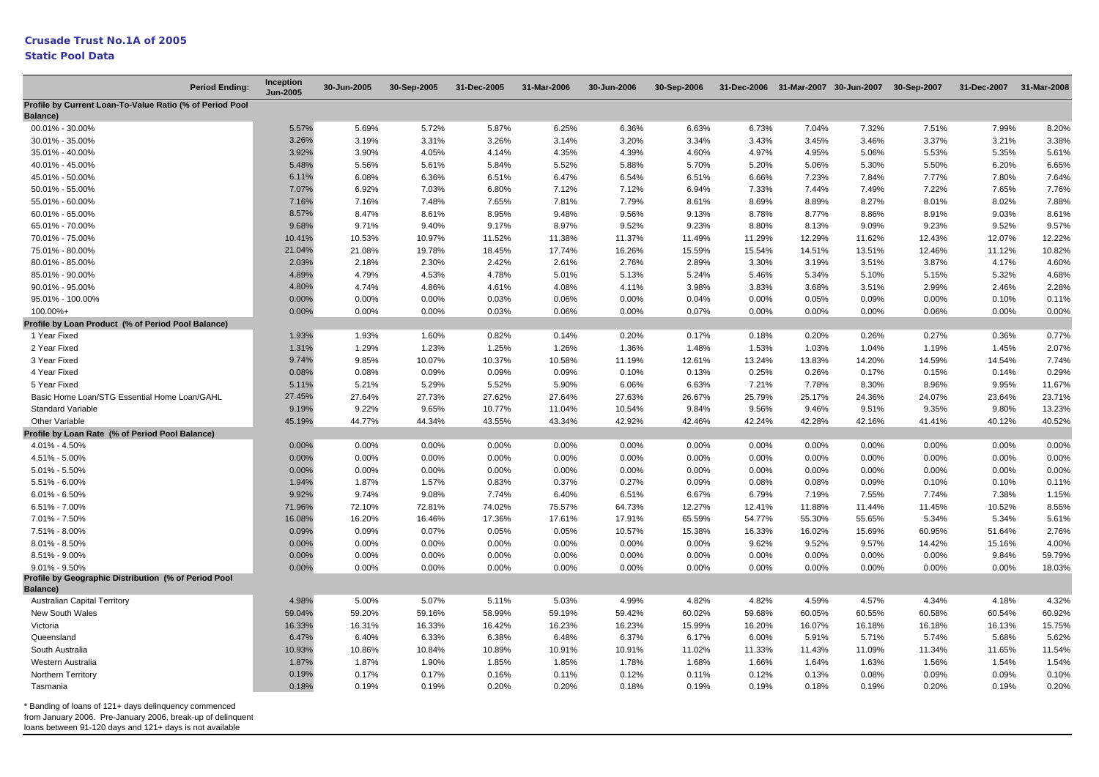#### **Static Pool Data**

| <b>Period Ending:</b>                                            | Inception<br><b>Jun-2005</b> | 30-Jun-2005 | 30-Sep-2005 | 31-Dec-2005 | 31-Mar-2006 | 30-Jun-2006 | 30-Sep-2006 |        |        | 31-Dec-2006 31-Mar-2007 30-Jun-2007 30-Sep-2007 |        | 31-Dec-2007 31-Mar-2008 |        |
|------------------------------------------------------------------|------------------------------|-------------|-------------|-------------|-------------|-------------|-------------|--------|--------|-------------------------------------------------|--------|-------------------------|--------|
| Profile by Current Loan-To-Value Ratio (% of Period Pool         |                              |             |             |             |             |             |             |        |        |                                                 |        |                         |        |
| Balance)                                                         |                              |             |             |             |             |             |             |        |        |                                                 |        |                         |        |
| 00.01% - 30.00%                                                  | 5.57%                        | 5.69%       | 5.72%       | 5.87%       | 6.25%       | 6.36%       | 6.63%       | 6.73%  | 7.04%  | 7.32%                                           | 7.51%  | 7.99%                   | 8.20%  |
| 30.01% - 35.00%                                                  | 3.26%                        | 3.19%       | 3.31%       | 3.26%       | 3.14%       | 3.20%       | 3.34%       | 3.43%  | 3.45%  | 3.46%                                           | 3.37%  | 3.21%                   | 3.38%  |
| 35.01% - 40.00%                                                  | 3.92%                        | 3.90%       | 4.05%       | 4.14%       | 4.35%       | 4.39%       | 4.60%       | 4.97%  | 4.95%  | 5.06%                                           | 5.53%  | 5.35%                   | 5.61%  |
| 40.01% - 45.00%                                                  | 5.48%                        | 5.56%       | 5.61%       | 5.84%       | 5.52%       | 5.88%       | 5.70%       | 5.20%  | 5.06%  | 5.30%                                           | 5.50%  | 6.20%                   | 6.65%  |
| 45.01% - 50.00%                                                  | 6.11%                        | 6.08%       | 6.36%       | 6.51%       | 6.47%       | 6.54%       | 6.51%       | 6.66%  | 7.23%  | 7.84%                                           | 7.77%  | 7.80%                   | 7.64%  |
| 50.01% - 55.00%                                                  | 7.07%                        | 6.92%       | 7.03%       | 6.80%       | 7.12%       | 7.12%       | 6.94%       | 7.33%  | 7.44%  | 7.49%                                           | 7.22%  | 7.65%                   | 7.76%  |
| 55.01% - 60.00%                                                  | 7.16%                        | 7.16%       | 7.48%       | 7.65%       | 7.81%       | 7.79%       | 8.61%       | 8.69%  | 8.89%  | 8.27%                                           | 8.01%  | 8.02%                   | 7.88%  |
| 60.01% - 65.00%                                                  | 8.57%                        | 8.47%       | 8.61%       | 8.95%       | 9.48%       | 9.56%       | 9.13%       | 8.78%  | 8.77%  | 8.86%                                           | 8.91%  | 9.03%                   | 8.61%  |
| 65.01% - 70.00%                                                  | 9.68%                        | 9.71%       | 9.40%       | 9.17%       | 8.97%       | 9.52%       | 9.23%       | 8.80%  | 8.13%  | 9.09%                                           | 9.23%  | 9.52%                   | 9.57%  |
| 70.01% - 75.00%                                                  | 10.41%                       | 10.53%      | 10.97%      | 11.52%      | 11.38%      | 11.37%      | 11.49%      | 11.29% | 12.29% | 11.62%                                          | 12.43% | 12.07%                  | 12.22% |
| 75.01% - 80.00%                                                  | 21.04%                       | 21.08%      | 19.78%      | 18.45%      | 17.74%      | 16.26%      | 15.59%      | 15.54% | 14.51% | 13.51%                                          | 12.46% | 11.12%                  | 10.82% |
| 80.01% - 85.00%                                                  | 2.03%                        | 2.18%       | 2.30%       | 2.42%       | 2.61%       | 2.76%       | 2.89%       | 3.30%  | 3.19%  | 3.51%                                           | 3.87%  | 4.17%                   | 4.60%  |
| 85.01% - 90.00%                                                  | 4.89%                        | 4.79%       | 4.53%       | 4.78%       | 5.01%       | 5.13%       | 5.24%       | 5.46%  | 5.34%  | 5.10%                                           | 5.15%  | 5.32%                   | 4.68%  |
| 90.01% - 95.00%                                                  | 4.80%                        | 4.74%       | 4.86%       | 4.61%       | 4.08%       | 4.11%       | 3.98%       | 3.83%  | 3.68%  | 3.51%                                           | 2.99%  | 2.46%                   | 2.28%  |
| 95.01% - 100.00%                                                 | 0.00%                        | 0.00%       | 0.00%       | 0.03%       | 0.06%       | 0.00%       | 0.04%       | 0.00%  | 0.05%  | 0.09%                                           | 0.00%  | 0.10%                   | 0.11%  |
| 100.00%+                                                         | 0.00%                        | 0.00%       | 0.00%       | 0.03%       | 0.06%       | 0.00%       | 0.07%       | 0.00%  | 0.00%  | 0.00%                                           | 0.06%  | 0.00%                   | 0.00%  |
| Profile by Loan Product (% of Period Pool Balance)               |                              |             |             |             |             |             |             |        |        |                                                 |        |                         |        |
| 1 Year Fixed                                                     | 1.93%                        | 1.93%       | 1.60%       | 0.82%       | 0.14%       | 0.20%       | 0.17%       | 0.18%  | 0.20%  | 0.26%                                           | 0.27%  | 0.36%                   | 0.77%  |
| 2 Year Fixed                                                     | 1.31%                        | 1.29%       | 1.23%       | 1.25%       | 1.26%       | 1.36%       | 1.48%       | 1.53%  | 1.03%  | 1.04%                                           | 1.19%  | 1.45%                   | 2.07%  |
| 3 Year Fixed                                                     | 9.74%                        | 9.85%       | 10.07%      | 10.37%      | 10.58%      | 11.19%      | 12.61%      | 13.24% | 13.83% | 14.20%                                          | 14.59% | 14.54%                  | 7.74%  |
| 4 Year Fixed                                                     | 0.08%                        | 0.08%       | 0.09%       | 0.09%       | 0.09%       | 0.10%       | 0.13%       | 0.25%  | 0.26%  | 0.17%                                           | 0.15%  | 0.14%                   | 0.29%  |
| 5 Year Fixed                                                     | 5.11%                        | 5.21%       | 5.29%       | 5.52%       | 5.90%       | 6.06%       | 6.63%       | 7.21%  | 7.78%  | 8.30%                                           | 8.96%  | 9.95%                   | 11.67% |
| Basic Home Loan/STG Essential Home Loan/GAHL                     | 27.45%                       | 27.64%      | 27.73%      | 27.62%      | 27.64%      | 27.63%      | 26.67%      | 25.79% | 25.17% | 24.36%                                          | 24.07% | 23.64%                  | 23.71% |
| Standard Variable                                                | 9.19%                        | 9.22%       | 9.65%       | 10.77%      | 11.04%      | 10.54%      | 9.84%       | 9.56%  | 9.46%  | 9.51%                                           | 9.35%  | 9.80%                   | 13.23% |
| Other Variable                                                   | 45.19%                       | 44.77%      | 44.34%      | 43.55%      | 43.34%      | 42.92%      | 42.46%      | 42.24% | 42.28% | 42.16%                                          | 41.41% | 40.12%                  | 40.52% |
| Profile by Loan Rate (% of Period Pool Balance)                  |                              |             |             |             |             |             |             |        |        |                                                 |        |                         |        |
| 4.01% - 4.50%                                                    | 0.00%                        | 0.00%       | 0.00%       | 0.00%       | 0.00%       | 0.00%       | 0.00%       | 0.00%  | 0.00%  | 0.00%                                           | 0.00%  | 0.00%                   | 0.00%  |
| 4.51% - 5.00%                                                    | 0.00%                        | 0.00%       | 0.00%       | 0.00%       | 0.00%       | 0.00%       | 0.00%       | 0.00%  | 0.00%  | 0.00%                                           | 0.00%  | 0.00%                   | 0.00%  |
| 5.01% - 5.50%                                                    | 0.00%                        | 0.00%       | 0.00%       | 0.00%       | 0.00%       | 0.00%       | 0.00%       | 0.00%  | 0.00%  | 0.00%                                           | 0.00%  | 0.00%                   | 0.00%  |
| 5.51% - 6.00%                                                    | 1.94%                        | 1.87%       | 1.57%       | 0.83%       | 0.37%       | 0.27%       | 0.09%       | 0.08%  | 0.08%  | 0.09%                                           | 0.10%  | 0.10%                   | 0.11%  |
| 6.01% - 6.50%                                                    | 9.92%                        | 9.74%       | 9.08%       | 7.74%       | 6.40%       | 6.51%       | 6.67%       | 6.79%  | 7.19%  | 7.55%                                           | 7.74%  | 7.38%                   | 1.15%  |
| 6.51% - 7.00%                                                    | 71.96%                       | 72.10%      | 72.81%      | 74.02%      | 75.57%      | 64.73%      | 12.27%      | 12.41% | 11.88% | 11.44%                                          | 11.45% | 10.52%                  | 8.55%  |
| 7.01% - 7.50%                                                    | 16.08%                       | 16.20%      | 16.46%      | 17.36%      | 17.61%      | 17.91%      | 65.59%      | 54.77% | 55.30% | 55.65%                                          | 5.34%  | 5.34%                   | 5.61%  |
| 7.51% - 8.00%                                                    | 0.09%                        | 0.09%       | 0.07%       | 0.05%       | 0.05%       | 10.57%      | 15.38%      | 16.33% | 16.02% | 15.69%                                          | 60.95% | 51.64%                  | 2.76%  |
| 8.01% - 8.50%                                                    | 0.00%                        | 0.00%       | 0.00%       | 0.00%       | 0.00%       | 0.00%       | 0.00%       | 9.62%  | 9.52%  | 9.57%                                           | 14.42% | 15.16%                  | 4.00%  |
| 8.51% - 9.00%                                                    | 0.00%                        | 0.00%       | 0.00%       | 0.00%       | 0.00%       | 0.00%       | 0.00%       | 0.00%  | 0.00%  | 0.00%                                           | 0.00%  | 9.84%                   | 59.79% |
| $9.01\% - 9.50\%$                                                | 0.00%                        | 0.00%       | 0.00%       | 0.00%       | 0.00%       | 0.00%       | 0.00%       | 0.00%  | 0.00%  | 0.00%                                           | 0.00%  | 0.00%                   | 18.03% |
| Profile by Geographic Distribution (% of Period Pool<br>Balance) |                              |             |             |             |             |             |             |        |        |                                                 |        |                         |        |
| <b>Australian Capital Territory</b>                              | 4.98%                        | 5.00%       | 5.07%       | 5.11%       | 5.03%       | 4.99%       | 4.82%       | 4.82%  | 4.59%  | 4.57%                                           | 4.34%  | 4.18%                   | 4.32%  |
| New South Wales                                                  | 59.04%                       | 59.20%      | 59.16%      | 58.99%      | 59.19%      | 59.42%      | 60.02%      | 59.68% | 60.05% | 60.55%                                          | 60.58% | 60.54%                  | 60.92% |
| Victoria                                                         | 16.33%                       | 16.31%      | 16.33%      | 16.42%      | 16.23%      | 16.23%      | 15.99%      | 16.20% | 16.07% | 16.18%                                          | 16.18% | 16.13%                  | 15.75% |
| Queensland                                                       | 6.47%                        | 6.40%       | 6.33%       | 6.38%       | 6.48%       | 6.37%       | 6.17%       | 6.00%  | 5.91%  | 5.71%                                           | 5.74%  | 5.68%                   | 5.62%  |
| South Australia                                                  | 10.93%                       | 10.86%      | 10.84%      | 10.89%      | 10.91%      | 10.91%      | 11.02%      | 11.33% | 11.43% | 11.09%                                          | 11.34% | 11.65%                  | 11.54% |
| Western Australia                                                | 1.87%                        | 1.87%       | 1.90%       | 1.85%       | 1.85%       | 1.78%       | 1.68%       | 1.66%  | 1.64%  | 1.63%                                           | 1.56%  | 1.54%                   | 1.54%  |
| Northern Territory                                               | 0.19%                        | 0.17%       | 0.17%       | 0.16%       | 0.11%       | 0.12%       | 0.11%       | 0.12%  | 0.13%  | 0.08%                                           | 0.09%  | 0.09%                   | 0.10%  |
| Tasmania                                                         | 0.18%                        | 0.19%       | 0.19%       | 0.20%       | 0.20%       | 0.18%       | 0.19%       | 0.19%  | 0.18%  | 0.19%                                           | 0.20%  | 0.19%                   | 0.20%  |
|                                                                  |                              |             |             |             |             |             |             |        |        |                                                 |        |                         |        |

\* Banding of loans of 121+ days delinquency commenced

from January 2006. Pre-January 2006, break-up of delinquent

loans between 91-120 days and 121+ days is not available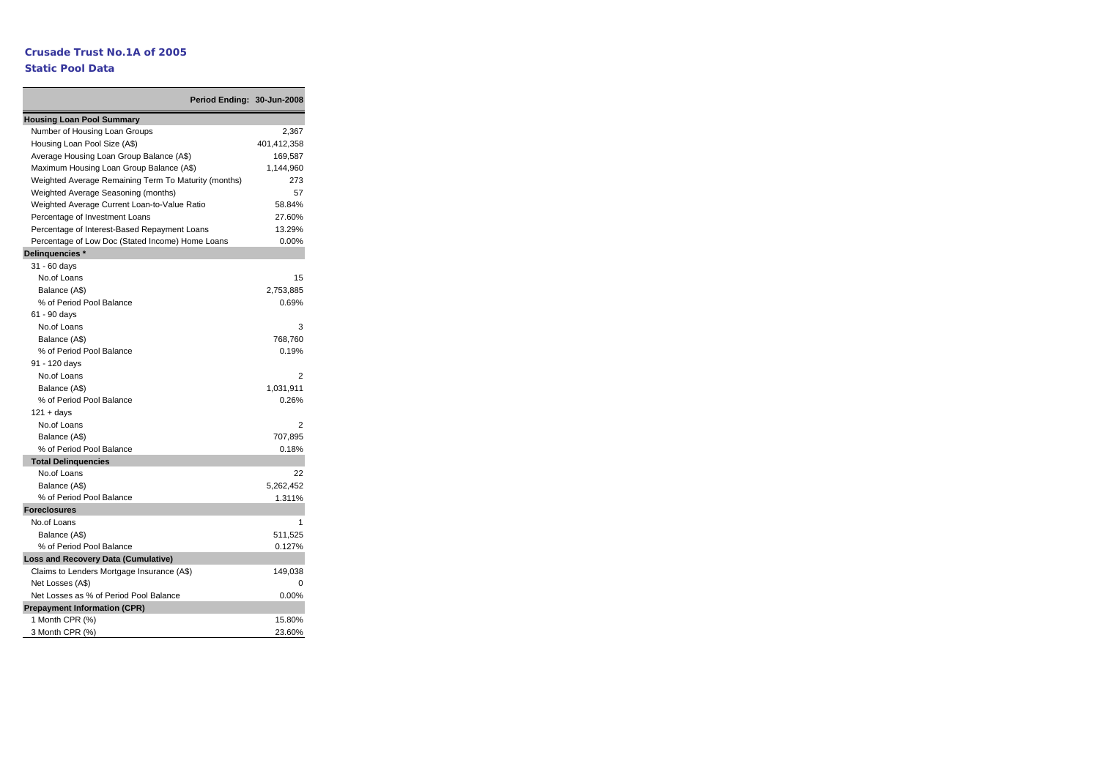#### **Static Pool Data**

|                                                      | Period Ending: 30-Jun-2008 |             |
|------------------------------------------------------|----------------------------|-------------|
| <b>Housing Loan Pool Summary</b>                     |                            |             |
| Number of Housing Loan Groups                        |                            | 2,367       |
| Housing Loan Pool Size (A\$)                         |                            | 401,412,358 |
| Average Housing Loan Group Balance (A\$)             |                            | 169,587     |
| Maximum Housing Loan Group Balance (A\$)             |                            | 1,144,960   |
| Weighted Average Remaining Term To Maturity (months) |                            | 273         |
| Weighted Average Seasoning (months)                  |                            | 57          |
| Weighted Average Current Loan-to-Value Ratio         |                            | 58.84%      |
| Percentage of Investment Loans                       |                            | 27.60%      |
| Percentage of Interest-Based Repayment Loans         |                            | 13.29%      |
| Percentage of Low Doc (Stated Income) Home Loans     |                            | 0.00%       |
| Delinquencies *                                      |                            |             |
| 31 - 60 days                                         |                            |             |
| No.of Loans                                          |                            | 15          |
| Balance (A\$)                                        |                            | 2,753,885   |
| % of Period Pool Balance                             |                            | 0.69%       |
| 61 - 90 days                                         |                            |             |
| No.of Loans                                          |                            | 3           |
| Balance (A\$)                                        |                            | 768,760     |
| % of Period Pool Balance                             |                            | 0.19%       |
| 91 - 120 days                                        |                            |             |
| No.of Loans                                          |                            | 2           |
| Balance (A\$)                                        |                            | 1,031,911   |
| % of Period Pool Balance                             |                            | 0.26%       |
| $121 + days$                                         |                            |             |
| No.of Loans                                          |                            | 2           |
| Balance (A\$)                                        |                            | 707,895     |
| % of Period Pool Balance                             |                            | 0.18%       |
| <b>Total Delinguencies</b>                           |                            |             |
| No.of Loans                                          |                            | 22          |
| Balance (A\$)                                        |                            | 5,262,452   |
| % of Period Pool Balance                             |                            | 1.311%      |
| <b>Foreclosures</b>                                  |                            |             |
| No.of Loans                                          |                            |             |
| Balance (A\$)                                        |                            | 511,525     |
| % of Period Pool Balance                             |                            | 0.127%      |
| Loss and Recovery Data (Cumulative)                  |                            |             |
| Claims to Lenders Mortgage Insurance (A\$)           |                            | 149,038     |
| Net Losses (A\$)                                     |                            | O           |
| Net Losses as % of Period Pool Balance               |                            | 0.00%       |
| <b>Prepayment Information (CPR)</b>                  |                            |             |
| 1 Month CPR (%)                                      |                            | 15.80%      |
| 3 Month CPR (%)                                      |                            | 23.60%      |